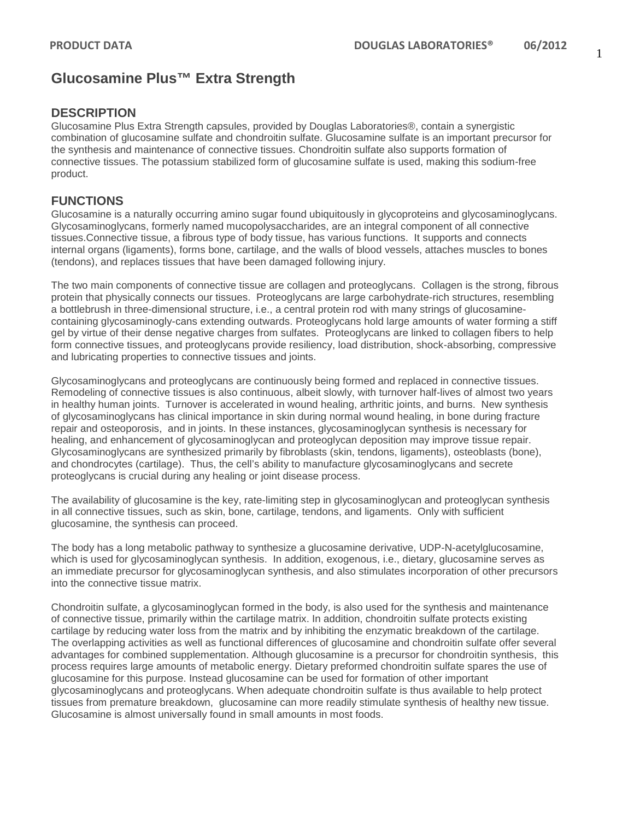## **Glucosamine Plus™ Extra Strength**

## **DESCRIPTION**

Glucosamine Plus Extra Strength capsules, provided by Douglas Laboratories®, contain a synergistic combination of glucosamine sulfate and chondroitin sulfate. Glucosamine sulfate is an important precursor for the synthesis and maintenance of connective tissues. Chondroitin sulfate also supports formation of connective tissues. The potassium stabilized form of glucosamine sulfate is used, making this sodium-free product.

## **FUNCTIONS**

Glucosamine is a naturally occurring amino sugar found ubiquitously in glycoproteins and glycosaminoglycans. Glycosaminoglycans, formerly named mucopolysaccharides, are an integral component of all connective tissues.Connective tissue, a fibrous type of body tissue, has various functions. It supports and connects internal organs (ligaments), forms bone, cartilage, and the walls of blood vessels, attaches muscles to bones (tendons), and replaces tissues that have been damaged following injury.

The two main components of connective tissue are collagen and proteoglycans. Collagen is the strong, fibrous protein that physically connects our tissues. Proteoglycans are large carbohydrate-rich structures, resembling a bottlebrush in three-dimensional structure, i.e., a central protein rod with many strings of glucosaminecontaining glycosaminogly-cans extending outwards. Proteoglycans hold large amounts of water forming a stiff gel by virtue of their dense negative charges from sulfates. Proteoglycans are linked to collagen fibers to help form connective tissues, and proteoglycans provide resiliency, load distribution, shock-absorbing, compressive and lubricating properties to connective tissues and joints.

Glycosaminoglycans and proteoglycans are continuously being formed and replaced in connective tissues. Remodeling of connective tissues is also continuous, albeit slowly, with turnover half-lives of almost two years in healthy human joints. Turnover is accelerated in wound healing, arthritic joints, and burns. New synthesis of glycosaminoglycans has clinical importance in skin during normal wound healing, in bone during fracture repair and osteoporosis, and in joints. In these instances, glycosaminoglycan synthesis is necessary for healing, and enhancement of glycosaminoglycan and proteoglycan deposition may improve tissue repair. Glycosaminoglycans are synthesized primarily by fibroblasts (skin, tendons, ligaments), osteoblasts (bone), and chondrocytes (cartilage). Thus, the cell's ability to manufacture glycosaminoglycans and secrete proteoglycans is crucial during any healing or joint disease process.

The availability of glucosamine is the key, rate-limiting step in glycosaminoglycan and proteoglycan synthesis in all connective tissues, such as skin, bone, cartilage, tendons, and ligaments. Only with sufficient glucosamine, the synthesis can proceed.

The body has a long metabolic pathway to synthesize a glucosamine derivative, UDP-N-acetylglucosamine, which is used for glycosaminoglycan synthesis. In addition, exogenous, i.e., dietary, glucosamine serves as an immediate precursor for glycosaminoglycan synthesis, and also stimulates incorporation of other precursors into the connective tissue matrix.

Chondroitin sulfate, a glycosaminoglycan formed in the body, is also used for the synthesis and maintenance of connective tissue, primarily within the cartilage matrix. In addition, chondroitin sulfate protects existing cartilage by reducing water loss from the matrix and by inhibiting the enzymatic breakdown of the cartilage. The overlapping activities as well as functional differences of glucosamine and chondroitin sulfate offer several advantages for combined supplementation. Although glucosamine is a precursor for chondroitin synthesis, this process requires large amounts of metabolic energy. Dietary preformed chondroitin sulfate spares the use of glucosamine for this purpose. Instead glucosamine can be used for formation of other important glycosaminoglycans and proteoglycans. When adequate chondroitin sulfate is thus available to help protect tissues from premature breakdown, glucosamine can more readily stimulate synthesis of healthy new tissue. Glucosamine is almost universally found in small amounts in most foods.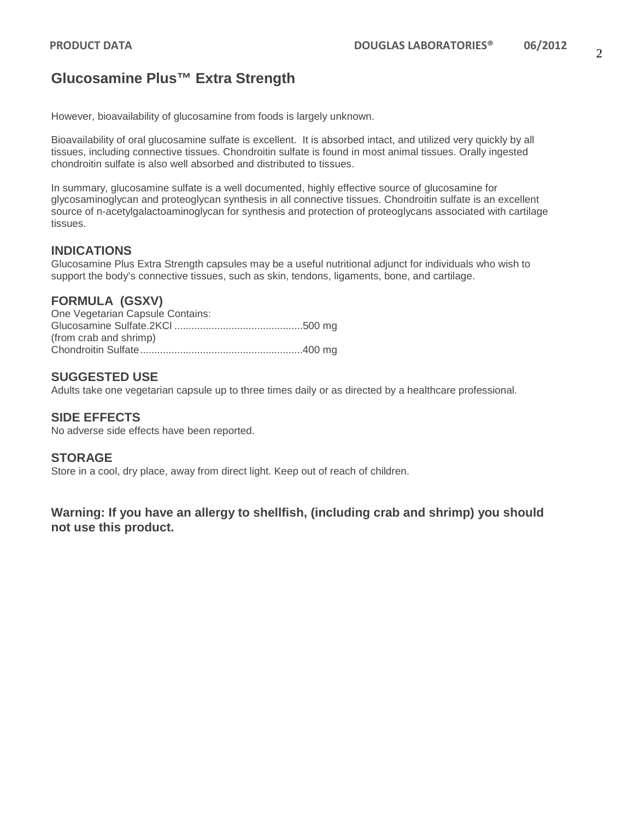# **Glucosamine Plus™ Extra Strength**

However, bioavailability of glucosamine from foods is largely unknown.

Bioavailability of oral glucosamine sulfate is excellent. It is absorbed intact, and utilized very quickly by all tissues, including connective tissues. Chondroitin sulfate is found in most animal tissues. Orally ingested chondroitin sulfate is also well absorbed and distributed to tissues.

In summary, glucosamine sulfate is a well documented, highly effective source of glucosamine for glycosaminoglycan and proteoglycan synthesis in all connective tissues. Chondroitin sulfate is an excellent source of n-acetylgalactoaminoglycan for synthesis and protection of proteoglycans associated with cartilage tissues.

## **INDICATIONS**

Glucosamine Plus Extra Strength capsules may be a useful nutritional adjunct for individuals who wish to support the body's connective tissues, such as skin, tendons, ligaments, bone, and cartilage.

## **FORMULA (GSXV)**

One Vegetarian Capsule Contains: Glucosamine Sulfate.2KCl .............................................500 mg (from crab and shrimp) Chondroitin Sulfate.........................................................400 mg

### **SUGGESTED USE**

Adults take one vegetarian capsule up to three times daily or as directed by a healthcare professional.

### **SIDE EFFECTS**

No adverse side effects have been reported.

### **STORAGE**

Store in a cool, dry place, away from direct light. Keep out of reach of children.

**Warning: If you have an allergy to shellfish, (including crab and shrimp) you should not use this product.**